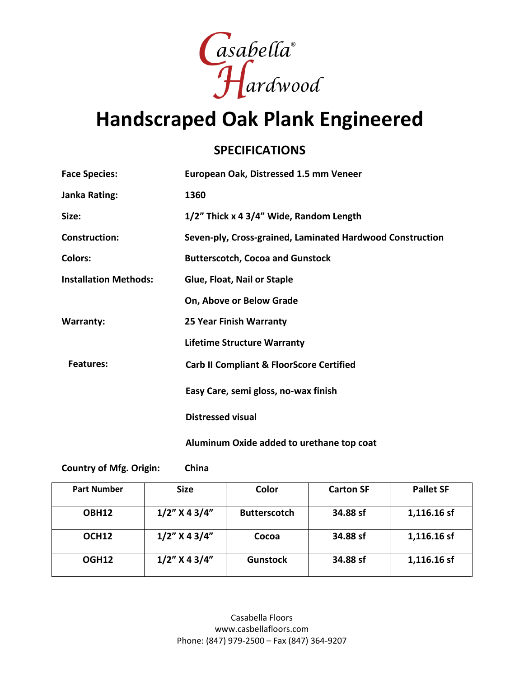

## **Handscraped Oak Plank Engineered**

#### **SPECIFICATIONS**

| <b>Face Species:</b>         | European Oak, Distressed 1.5 mm Veneer                    |  |  |
|------------------------------|-----------------------------------------------------------|--|--|
| Janka Rating:                | 1360                                                      |  |  |
| Size:                        | 1/2" Thick x 4 3/4" Wide, Random Length                   |  |  |
| <b>Construction:</b>         | Seven-ply, Cross-grained, Laminated Hardwood Construction |  |  |
| <b>Colors:</b>               | <b>Butterscotch, Cocoa and Gunstock</b>                   |  |  |
| <b>Installation Methods:</b> | Glue, Float, Nail or Staple                               |  |  |
|                              | On, Above or Below Grade                                  |  |  |
| <b>Warranty:</b>             | <b>25 Year Finish Warranty</b>                            |  |  |
|                              | <b>Lifetime Structure Warranty</b>                        |  |  |
| <b>Features:</b>             | <b>Carb II Compliant &amp; FloorScore Certified</b>       |  |  |
|                              | Easy Care, semi gloss, no-wax finish                      |  |  |
|                              | <b>Distressed visual</b>                                  |  |  |
|                              | Aluminum Oxide added to urethane top coat                 |  |  |

**Country of Mfg. Origin: China**

| <b>Part Number</b> | <b>Size</b>      | Color               | <b>Carton SF</b> | <b>Pallet SF</b> |
|--------------------|------------------|---------------------|------------------|------------------|
| OBH12              | $1/2$ " X 4 3/4" | <b>Butterscotch</b> | 34.88 sf         | 1,116.16 sf      |
| OCH <sub>12</sub>  | $1/2$ " X 4 3/4" | Cocoa               | 34.88 sf         | 1,116.16 sf      |
| OGH12              | $1/2$ " X 4 3/4" | <b>Gunstock</b>     | 34.88 sf         | 1,116.16 sf      |